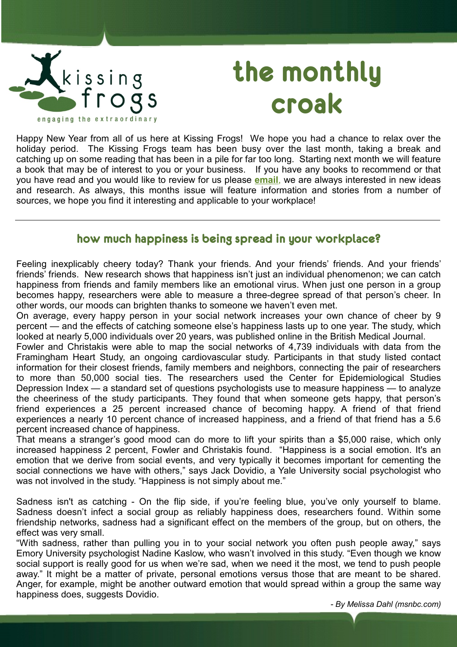

# **the monthly croak**

Happy New Year from all of us here at Kissing Frogs! We hope you had a chance to relax over the holiday period. The Kissing Frogs team has been busy over the last month, taking a break and catching up on some reading that has been in a pile for far too long. Starting next month we will feature a book that may be of interest to you or your business. If you have any books to recommend or that you have read and you would like to review for us please **[email](mailto:newletter@kissingfrogs.co.nz?subject=Book%20Review%20Ideas)**, we are always interested in new ideas and research. As always, this months issue will feature information and stories from a number of sources, we hope you find it interesting and applicable to your workplace!

## **how much happiness is being spread in your workplace?**

Feeling inexplicably cheery today? Thank your friends. And your friends' friends. And your friends' friends' friends. New research shows that happiness isn't just an individual phenomenon; we can catch happiness from friends and family members like an emotional virus. When just one person in a group becomes happy, researchers were able to measure a three-degree spread of that person's cheer. In other words, our moods can brighten thanks to someone we haven't even met.

On average, every happy person in your social network increases your own chance of cheer by 9 percent — and the effects of catching someone else's happiness lasts up to one year. The study, which looked at nearly 5,000 individuals over 20 years, was published online in the British Medical Journal.

Fowler and Christakis were able to map the social networks of 4,739 individuals with data from the Framingham Heart Study, an ongoing cardiovascular study. Participants in that study listed contact information for their closest friends, family members and neighbors, connecting the pair of researchers to more than 50,000 social ties. The researchers used the Center for Epidemiological Studies Depression Index — a standard set of questions psychologists use to measure happiness — to analyze the cheeriness of the study participants. They found that when someone gets happy, that person's friend experiences a 25 percent increased chance of becoming happy. A friend of that friend experiences a nearly 10 percent chance of increased happiness, and a friend of that friend has a 5.6 percent increased chance of happiness.

That means a stranger's good mood can do more to lift your spirits than a \$5,000 raise, which only increased happiness 2 percent, Fowler and Christakis found. "Happiness is a social emotion. It's an emotion that we derive from social events, and very typically it becomes important for cementing the social connections we have with others," says Jack Dovidio, a Yale University social psychologist who was not involved in the study. "Happiness is not simply about me."

Sadness isn't as catching - On the flip side, if you're feeling blue, you've only yourself to blame. Sadness doesn't infect a social group as reliably happiness does, researchers found. Within some friendship networks, sadness had a significant effect on the members of the group, but on others, the effect was very small.

"With sadness, rather than pulling you in to your social network you often push people away," says Emory University psychologist Nadine Kaslow, who wasn't involved in this study. "Even though we know social support is really good for us when we're sad, when we need it the most, we tend to push people away." It might be a matter of private, personal emotions versus those that are meant to be shared. Anger, for example, might be another outward emotion that would spread within a group the same way happiness does, suggests Dovidio.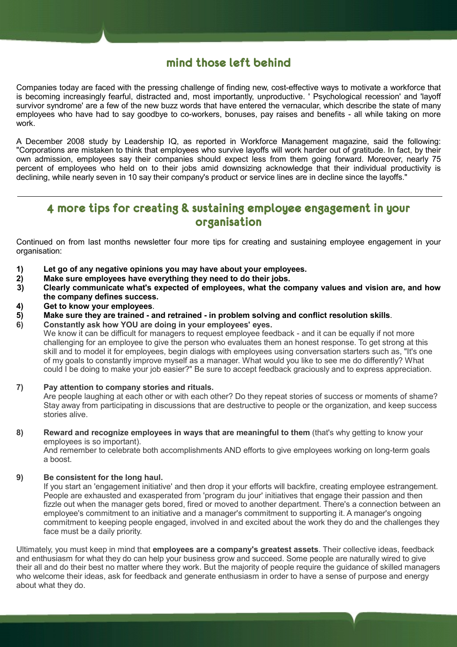## **mind those left behind**

Companies today are faced with the pressing challenge of finding new, cost-effective ways to motivate a workforce that is becoming increasingly fearful, distracted and, most importantly, unproductive. ' Psychological recession' and 'layoff survivor syndrome' are a few of the new buzz words that have entered the vernacular, which describe the state of many employees who have had to say goodbye to co-workers, bonuses, pay raises and benefits - all while taking on more work.

A December 2008 study by Leadership IQ, as reported in Workforce Management magazine, said the following: "Corporations are mistaken to think that employees who survive layoffs will work harder out of gratitude. In fact, by their own admission, employees say their companies should expect less from them going forward. Moreover, nearly 75 percent of employees who held on to their jobs amid downsizing acknowledge that their individual productivity is declining, while nearly seven in 10 say their company's product or service lines are in decline since the layoffs."

## **4 more tips for creating & sustaining employee engagement in your organisation**

Continued on from last months newsletter four more tips for creating and sustaining employee engagement in your organisation:

- **1) Let go of any negative opinions you may have about your employees.**
- **2) Make sure employees have everything they need to do their jobs.**
- **3) Clearly communicate what's expected of employees, what the company values and vision are, and how the company defines success.**
- **4) Get to know your employees**.
- **5) Make sure they are trained and retrained in problem solving and conflict resolution skills**.
- **6) Constantly ask how YOU are doing in your employees' eyes.**

We know it can be difficult for managers to request employee feedback - and it can be equally if not more challenging for an employee to give the person who evaluates them an honest response. To get strong at this skill and to model it for employees, begin dialogs with employees using conversation starters such as, "It's one of my goals to constantly improve myself as a manager. What would you like to see me do differently? What could I be doing to make your job easier?" Be sure to accept feedback graciously and to express appreciation.

#### **7) Pay attention to company stories and rituals.** Are people laughing at each other or with each other? Do they repeat stories of success or moments of shame? Stay away from participating in discussions that are destructive to people or the organization, and keep success stories alive.

**8) Reward and recognize employees in ways that are meaningful to them** (that's why getting to know your employees is so important).

And remember to celebrate both accomplishments AND efforts to give employees working on long-term goals a boost.

### **9) Be consistent for the long haul.**

If you start an 'engagement initiative' and then drop it your efforts will backfire, creating employee estrangement. People are exhausted and exasperated from 'program du jour' initiatives that engage their passion and then fizzle out when the manager gets bored, fired or moved to another department. There's a connection between an employee's commitment to an initiative and a manager's commitment to supporting it. A manager's ongoing commitment to keeping people engaged, involved in and excited about the work they do and the challenges they face must be a daily priority.

Ultimately, you must keep in mind that **employees are a company's greatest assets**. Their collective ideas, feedback and enthusiasm for what they do can help your business grow and succeed. Some people are naturally wired to give their all and do their best no matter where they work. But the majority of people require the guidance of skilled managers who welcome their ideas, ask for feedback and generate enthusiasm in order to have a sense of purpose and energy about what they do.